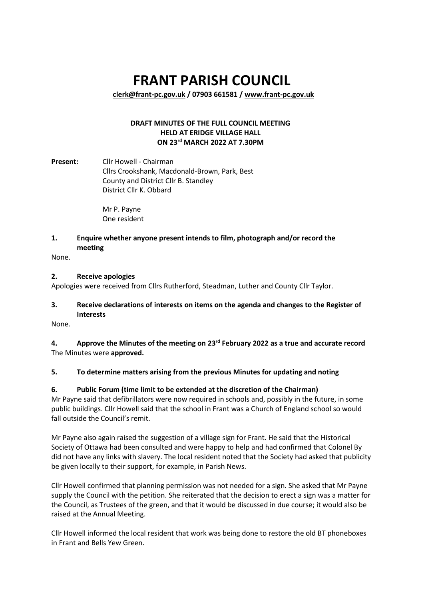# **FRANT PARISH COUNCIL**

**[clerk@frant-pc.gov.uk](mailto:clerk@frant-pc.gov.uk) / 07903 661581 [/ www.frant-pc.gov.uk](http://www.frant-pc.gov.uk/)**

# **DRAFT MINUTES OF THE FULL COUNCIL MEETING HELD AT ERIDGE VILLAGE HALL ON 23 rd MARCH 2022 AT 7.30PM**

**Present:** Cllr Howell - Chairman Cllrs Crookshank, Macdonald-Brown, Park, Best County and District Cllr B. Standley District Cllr K. Obbard

> Mr P. Payne One resident

#### **1. Enquire whether anyone present intends to film, photograph and/or record the meeting**

None.

#### **2. Receive apologies**

Apologies were received from Cllrs Rutherford, Steadman, Luther and County Cllr Taylor.

# **3. Receive declarations of interests on items on the agenda and changes to the Register of Interests**

None.

**4. Approve the Minutes of the meeting on 23rd February 2022 as a true and accurate record** The Minutes were **approved.**

# **5. To determine matters arising from the previous Minutes for updating and noting**

# **6. Public Forum (time limit to be extended at the discretion of the Chairman)**

Mr Payne said that defibrillators were now required in schools and, possibly in the future, in some public buildings. Cllr Howell said that the school in Frant was a Church of England school so would fall outside the Council's remit.

Mr Payne also again raised the suggestion of a village sign for Frant. He said that the Historical Society of Ottawa had been consulted and were happy to help and had confirmed that Colonel By did not have any links with slavery. The local resident noted that the Society had asked that publicity be given locally to their support, for example, in Parish News.

Cllr Howell confirmed that planning permission was not needed for a sign. She asked that Mr Payne supply the Council with the petition. She reiterated that the decision to erect a sign was a matter for the Council, as Trustees of the green, and that it would be discussed in due course; it would also be raised at the Annual Meeting.

Cllr Howell informed the local resident that work was being done to restore the old BT phoneboxes in Frant and Bells Yew Green.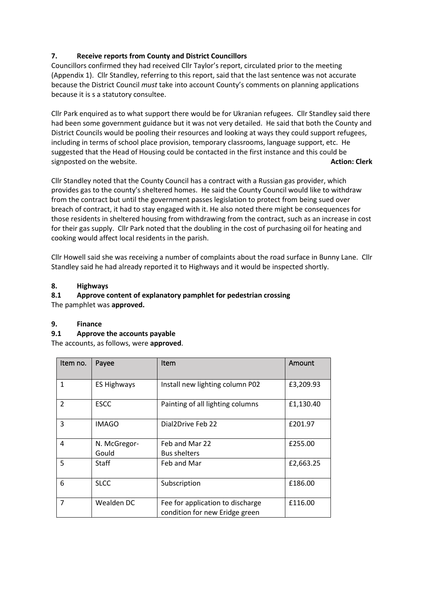# **7. Receive reports from County and District Councillors**

Councillors confirmed they had received Cllr Taylor's report, circulated prior to the meeting (Appendix 1). Cllr Standley, referring to this report, said that the last sentence was not accurate because the District Council *must* take into account County's comments on planning applications because it is s a statutory consultee.

Cllr Park enquired as to what support there would be for Ukranian refugees. Cllr Standley said there had been some government guidance but it was not very detailed. He said that both the County and District Councils would be pooling their resources and looking at ways they could support refugees, including in terms of school place provision, temporary classrooms, language support, etc. He suggested that the Head of Housing could be contacted in the first instance and this could be signposted on the website. **Action: Clerk** and the website.

Cllr Standley noted that the County Council has a contract with a Russian gas provider, which provides gas to the county's sheltered homes. He said the County Council would like to withdraw from the contract but until the government passes legislation to protect from being sued over breach of contract, it had to stay engaged with it. He also noted there might be consequences for those residents in sheltered housing from withdrawing from the contract, such as an increase in cost for their gas supply. Cllr Park noted that the doubling in the cost of purchasing oil for heating and cooking would affect local residents in the parish.

Cllr Howell said she was receiving a number of complaints about the road surface in Bunny Lane. Cllr Standley said he had already reported it to Highways and it would be inspected shortly.

# **8. Highways**

# **8.1 Approve content of explanatory pamphlet for pedestrian crossing**

The pamphlet was **approved.**

# **9. Finance**

#### **9.1 Approve the accounts payable**

The accounts, as follows, were **approved**.

| Item no.                 | Payee              | Item                                                               | Amount    |
|--------------------------|--------------------|--------------------------------------------------------------------|-----------|
| $\mathbf{1}$             | <b>ES Highways</b> | Install new lighting column P02                                    | £3,209.93 |
| $\overline{\phantom{a}}$ | <b>ESCC</b>        | Painting of all lighting columns                                   | £1,130.40 |
| 3                        | <b>IMAGO</b>       | Dial2Drive Feb 22                                                  | £201.97   |
| 4                        | N. McGregor-       | Feb and Mar 22                                                     | £255.00   |
|                          | Gould              | <b>Bus shelters</b>                                                |           |
| 5                        | Staff              | Feb and Mar                                                        | £2,663.25 |
| 6                        | <b>SLCC</b>        | Subscription                                                       | £186.00   |
| 7                        | Wealden DC         | Fee for application to discharge<br>condition for new Eridge green | £116.00   |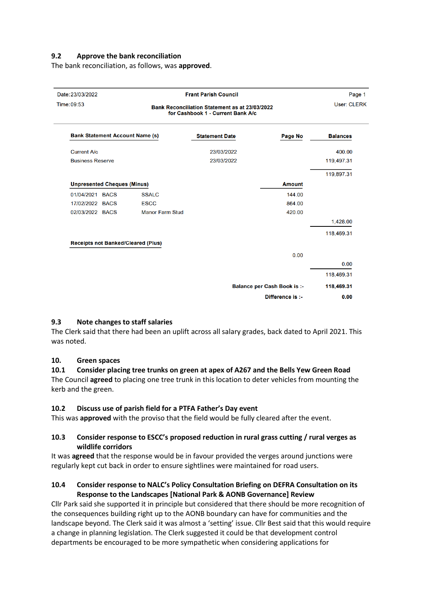#### **9.2 Approve the bank reconciliation**

The bank reconciliation, as follows, was **approved**.

| Page 1             | <b>Frant Parish Council</b>        |                                                                                            |                                           | Date: 23/03/2022 |                                        |  |
|--------------------|------------------------------------|--------------------------------------------------------------------------------------------|-------------------------------------------|------------------|----------------------------------------|--|
| <b>User: CLERK</b> |                                    | <b>Bank Reconciliation Statement as at 23/03/2022</b><br>for Cashbook 1 - Current Bank A/c |                                           |                  | Time: 09:53                            |  |
| <b>Balances</b>    | Page No                            | <b>Statement Date</b>                                                                      |                                           |                  | <b>Bank Statement Account Name (s)</b> |  |
| 400.00             |                                    | 23/03/2022                                                                                 |                                           |                  | <b>Current A/c</b>                     |  |
| 119,497.31         |                                    | 23/03/2022                                                                                 |                                           |                  | <b>Business Reserve</b>                |  |
| 119,897.31         |                                    |                                                                                            |                                           |                  |                                        |  |
|                    | <b>Amount</b>                      |                                                                                            | <b>Unpresented Cheques (Minus)</b>        |                  |                                        |  |
|                    | 144.00                             |                                                                                            | <b>SSALC</b>                              |                  | 01/04/2021 BACS                        |  |
|                    | 864.00                             |                                                                                            | <b>ESCC</b>                               |                  | 17/02/2022 BACS                        |  |
|                    | 420.00                             |                                                                                            | <b>Manor Farm Stud</b>                    |                  | 02/03/2022 BACS                        |  |
| 1,428.00           |                                    |                                                                                            |                                           |                  |                                        |  |
| 118,469.31         |                                    |                                                                                            |                                           |                  |                                        |  |
|                    |                                    |                                                                                            | <b>Receipts not Banked/Cleared (Plus)</b> |                  |                                        |  |
|                    | 0.00                               |                                                                                            |                                           |                  |                                        |  |
| 0.00               |                                    |                                                                                            |                                           |                  |                                        |  |
| 118,469.31         |                                    |                                                                                            |                                           |                  |                                        |  |
| 118,469.31         | <b>Balance per Cash Book is :-</b> |                                                                                            |                                           |                  |                                        |  |
| 0.00               | Difference is :-                   |                                                                                            |                                           |                  |                                        |  |

#### **9.3 Note changes to staff salaries**

The Clerk said that there had been an uplift across all salary grades, back dated to April 2021. This was noted.

#### **10. Green spaces**

#### **10.1 Consider placing tree trunks on green at apex of A267 and the Bells Yew Green Road** The Council **agreed** to placing one tree trunk in this location to deter vehicles from mounting the kerb and the green.

#### **10.2 Discuss use of parish field for a PTFA Father's Day event**

This was **approved** with the proviso that the field would be fully cleared after the event.

#### **10.3 Consider response to ESCC's proposed reduction in rural grass cutting / rural verges as wildlife corridors**

It was **agreed** that the response would be in favour provided the verges around junctions were regularly kept cut back in order to ensure sightlines were maintained for road users.

#### **10.4 Consider response to NALC's Policy Consultation Briefing on DEFRA Consultation on its Response to the Landscapes [National Park & AONB Governance] Review**

Cllr Park said she supported it in principle but considered that there should be more recognition of the consequences building right up to the AONB boundary can have for communities and the landscape beyond. The Clerk said it was almost a 'setting' issue. Cllr Best said that this would require a change in planning legislation. The Clerk suggested it could be that development control departments be encouraged to be more sympathetic when considering applications for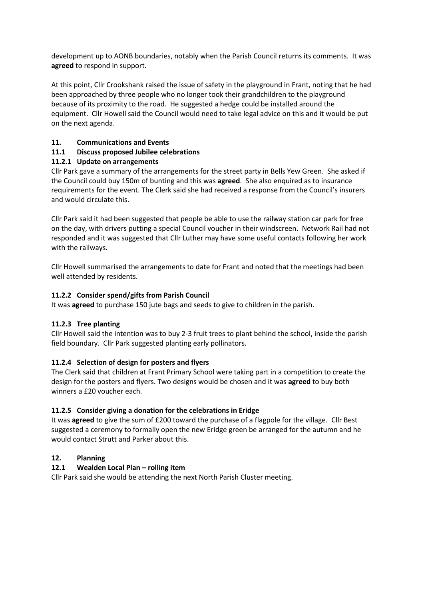development up to AONB boundaries, notably when the Parish Council returns its comments. It was **agreed** to respond in support.

At this point, Cllr Crookshank raised the issue of safety in the playground in Frant, noting that he had been approached by three people who no longer took their grandchildren to the playground because of its proximity to the road. He suggested a hedge could be installed around the equipment. Cllr Howell said the Council would need to take legal advice on this and it would be put on the next agenda.

# **11. Communications and Events**

# **11.1 Discuss proposed Jubilee celebrations**

# **11.2.1 Update on arrangements**

Cllr Park gave a summary of the arrangements for the street party in Bells Yew Green. She asked if the Council could buy 150m of bunting and this was **agreed**. She also enquired as to insurance requirements for the event. The Clerk said she had received a response from the Council's insurers and would circulate this.

Cllr Park said it had been suggested that people be able to use the railway station car park for free on the day, with drivers putting a special Council voucher in their windscreen. Network Rail had not responded and it was suggested that Cllr Luther may have some useful contacts following her work with the railways.

Cllr Howell summarised the arrangements to date for Frant and noted that the meetings had been well attended by residents.

#### **11.2.2 Consider spend/gifts from Parish Council**

It was **agreed** to purchase 150 jute bags and seeds to give to children in the parish.

#### **11.2.3 Tree planting**

Cllr Howell said the intention was to buy 2-3 fruit trees to plant behind the school, inside the parish field boundary. Cllr Park suggested planting early pollinators.

# **11.2.4 Selection of design for posters and flyers**

The Clerk said that children at Frant Primary School were taking part in a competition to create the design for the posters and flyers. Two designs would be chosen and it was **agreed** to buy both winners a £20 voucher each.

# **11.2.5 Consider giving a donation for the celebrations in Eridge**

It was **agreed** to give the sum of £200 toward the purchase of a flagpole for the village. Cllr Best suggested a ceremony to formally open the new Eridge green be arranged for the autumn and he would contact Strutt and Parker about this.

# **12. Planning**

# **12.1 Wealden Local Plan – rolling item**

Cllr Park said she would be attending the next North Parish Cluster meeting.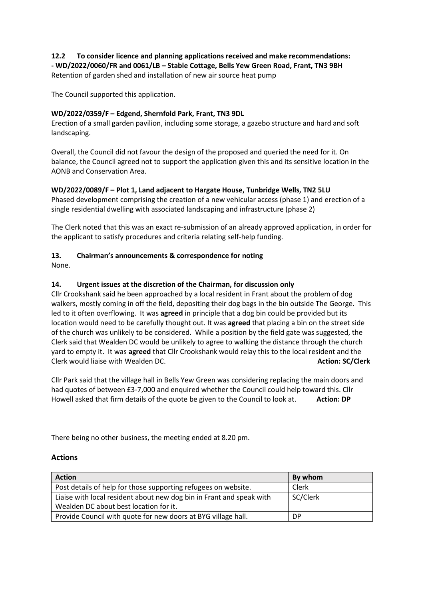#### **12.2 To consider licence and planning applications received and make recommendations: - WD/2022/0060/FR and 0061/LB – Stable Cottage, Bells Yew Green Road, Frant, TN3 9BH** Retention of garden shed and installation of new air source heat pump

The Council supported this application.

## **WD/2022/0359/F – Edgend, Shernfold Park, Frant, TN3 9DL**

Erection of a small garden pavilion, including some storage, a gazebo structure and hard and soft landscaping.

Overall, the Council did not favour the design of the proposed and queried the need for it. On balance, the Council agreed not to support the application given this and its sensitive location in the AONB and Conservation Area.

#### **WD/2022/0089/F – Plot 1, Land adjacent to Hargate House, Tunbridge Wells, TN2 5LU**

Phased development comprising the creation of a new vehicular access (phase 1) and erection of a single residential dwelling with associated landscaping and infrastructure (phase 2)

The Clerk noted that this was an exact re-submission of an already approved application, in order for the applicant to satisfy procedures and criteria relating self-help funding.

#### **13. Chairman's announcements & correspondence for noting**

None.

#### **14. Urgent issues at the discretion of the Chairman, for discussion only**

Cllr Crookshank said he been approached by a local resident in Frant about the problem of dog walkers, mostly coming in off the field, depositing their dog bags in the bin outside The George. This led to it often overflowing. It was **agreed** in principle that a dog bin could be provided but its location would need to be carefully thought out. It was **agreed** that placing a bin on the street side of the church was unlikely to be considered. While a position by the field gate was suggested, the Clerk said that Wealden DC would be unlikely to agree to walking the distance through the church yard to empty it. It was **agreed** that Cllr Crookshank would relay this to the local resident and the Clerk would liaise with Wealden DC. **Action: SC/Clerk**

Cllr Park said that the village hall in Bells Yew Green was considering replacing the main doors and had quotes of between £3-7,000 and enquired whether the Council could help toward this. Cllr Howell asked that firm details of the quote be given to the Council to look at. **Action: DP**

There being no other business, the meeting ended at 8.20 pm.

#### **Actions**

| <b>Action</b>                                                        | By whom  |
|----------------------------------------------------------------------|----------|
| Post details of help for those supporting refugees on website.       | Clerk    |
| Liaise with local resident about new dog bin in Frant and speak with | SC/Clerk |
| Wealden DC about best location for it.                               |          |
| Provide Council with quote for new doors at BYG village hall.        | DP       |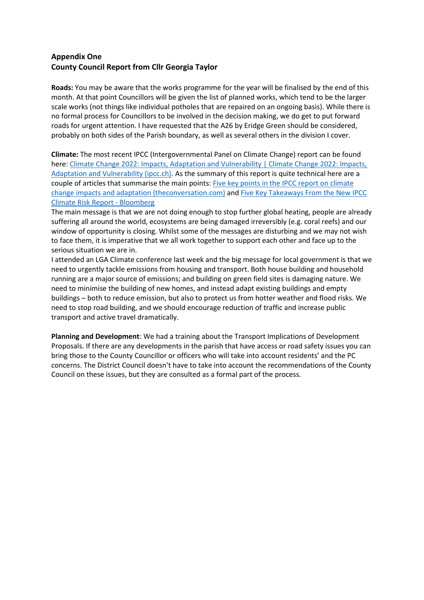# **Appendix One County Council Report from Cllr Georgia Taylor**

**Roads:** You may be aware that the works programme for the year will be finalised by the end of this month. At that point Councillors will be given the list of planned works, which tend to be the larger scale works (not things like individual potholes that are repaired on an ongoing basis). While there is no formal process for Councillors to be involved in the decision making, we do get to put forward roads for urgent attention. I have requested that the A26 by Eridge Green should be considered, probably on both sides of the Parish boundary, as well as several others in the division I cover.

**Climate:** The most recent IPCC (Intergovernmental Panel on Climate Change) report can be found here: Climate Change 2022: Impacts, Adaptation and Vulnerability | Climate Change 2022: Impacts, [Adaptation and Vulnerability \(ipcc.ch\).](https://www.ipcc.ch/report/ar6/wg2/) As the summary of this report is quite technical here are a couple of articles that summarise the main points: [Five key points in the IPCC report on climate](https://theconversation.com/five-key-points-in-the-ipcc-report-on-climate-change-impacts-and-adaptation-178195)  [change impacts and adaptation \(theconversation.com\)](https://theconversation.com/five-key-points-in-the-ipcc-report-on-climate-change-impacts-and-adaptation-178195) and [Five Key Takeaways From the New IPCC](https://www.bloomberg.com/news/articles/2022-02-28/five-key-takeaways-from-the-new-ipcc-climate-risk-report)  [Climate Risk Report -](https://www.bloomberg.com/news/articles/2022-02-28/five-key-takeaways-from-the-new-ipcc-climate-risk-report) Bloomberg

The main message is that we are not doing enough to stop further global heating, people are already suffering all around the world, ecosystems are being damaged irreversibly (e.g. coral reefs) and our window of opportunity is closing. Whilst some of the messages are disturbing and we may not wish to face them, it is imperative that we all work together to support each other and face up to the serious situation we are in.

I attended an LGA Climate conference last week and the big message for local government is that we need to urgently tackle emissions from housing and transport. Both house building and household running are a major source of emissions; and building on green field sites is damaging nature. We need to minimise the building of new homes, and instead adapt existing buildings and empty buildings – both to reduce emission, but also to protect us from hotter weather and flood risks. We need to stop road building, and we should encourage reduction of traffic and increase public transport and active travel dramatically.

**Planning and Development**: We had a training about the Transport Implications of Development Proposals. If there are any developments in the parish that have access or road safety issues you can bring those to the County Councillor or officers who will take into account residents' and the PC concerns. The District Council doesn't have to take into account the recommendations of the County Council on these issues, but they are consulted as a formal part of the process.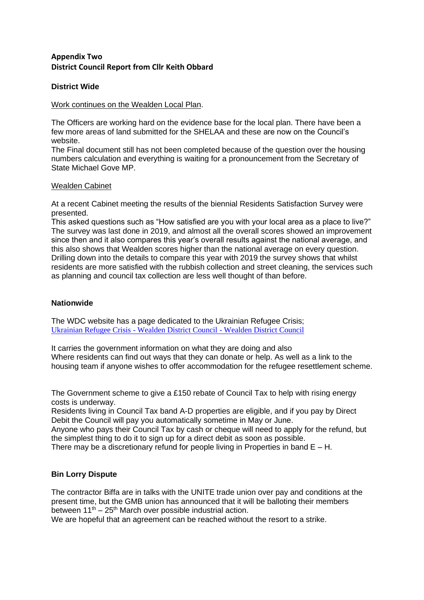# **Appendix Two District Council Report from Cllr Keith Obbard**

# **District Wide**

## Work continues on the Wealden Local Plan.

The Officers are working hard on the evidence base for the local plan. There have been a few more areas of land submitted for the SHELAA and these are now on the Council's website.

The Final document still has not been completed because of the question over the housing numbers calculation and everything is waiting for a pronouncement from the Secretary of State Michael Gove MP.

# Wealden Cabinet

At a recent Cabinet meeting the results of the biennial Residents Satisfaction Survey were presented.

This asked questions such as "How satisfied are you with your local area as a place to live?" The survey was last done in 2019, and almost all the overall scores showed an improvement since then and it also compares this year's overall results against the national average, and this also shows that Wealden scores higher than the national average on every question. Drilling down into the details to compare this year with 2019 the survey shows that whilst residents are more satisfied with the rubbish collection and street cleaning, the services such as planning and council tax collection are less well thought of than before.

# **Nationwide**

The WDC website has a page dedicated to the Ukrainian Refugee Crisis; Ukrainian Refugee Crisis - [Wealden District Council -](https://www.wealden.gov.uk/ukrainian-refugee-crisis/) Wealden District Council

It carries the government information on what they are doing and also Where residents can find out ways that they can donate or help. As well as a link to the housing team if anyone wishes to offer accommodation for the refugee resettlement scheme.

The Government scheme to give a £150 rebate of Council Tax to help with rising energy costs is underway.

Residents living in Council Tax band A-D properties are eligible, and if you pay by Direct Debit the Council will pay you automatically sometime in May or June.

Anyone who pays their Council Tax by cash or cheque will need to apply for the refund, but the simplest thing to do it to sign up for a direct debit as soon as possible.

There may be a discretionary refund for people living in Properties in band  $E - H$ .

# **Bin Lorry Dispute**

The contractor Biffa are in talks with the UNITE trade union over pay and conditions at the present time, but the GMB union has announced that it will be balloting their members between  $11<sup>th</sup> - 25<sup>th</sup>$  March over possible industrial action.

We are hopeful that an agreement can be reached without the resort to a strike.